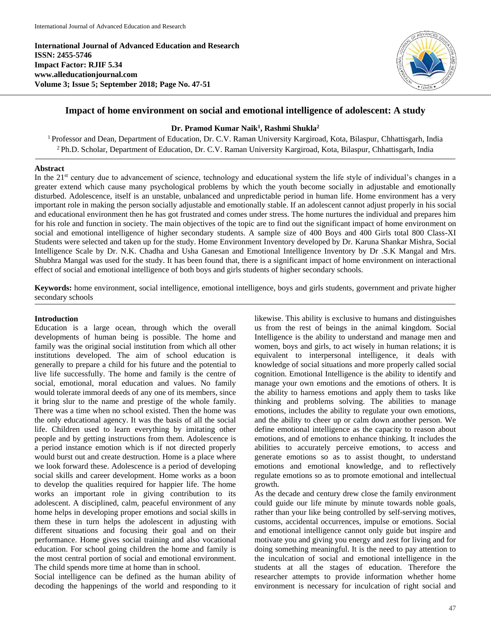**International Journal of Advanced Education and Research ISSN: 2455-5746 Impact Factor: RJIF 5.34 www.alleducationjournal.com Volume 3; Issue 5; September 2018; Page No. 47-51**



## **Impact of home environment on social and emotional intelligence of adolescent: A study**

## **Dr. Pramod Kumar Naik<sup>1</sup> , Rashmi Shukla<sup>2</sup>**

<sup>1</sup> Professor and Dean, Department of Education, Dr. C.V. Raman University Kargiroad, Kota, Bilaspur, Chhattisgarh, India <sup>2</sup> Ph.D. Scholar, Department of Education, Dr. C.V. Raman University Kargiroad, Kota, Bilaspur, Chhattisgarh, India

### **Abstract**

In the 21<sup>st</sup> century due to advancement of science, technology and educational system the life style of individual's changes in a greater extend which cause many psychological problems by which the youth become socially in adjustable and emotionally disturbed. Adolescence, itself is an unstable, unbalanced and unpredictable period in human life. Home environment has a very important role in making the person socially adjustable and emotionally stable. If an adolescent cannot adjust properly in his social and educational environment then he has got frustrated and comes under stress. The home nurtures the individual and prepares him for his role and function in society. The main objectives of the topic are to find out the significant impact of home environment on social and emotional intelligence of higher secondary students. A sample size of 400 Boys and 400 Girls total 800 Class-XI Students were selected and taken up for the study. Home Environment Inventory developed by Dr. Karuna Shankar Mishra, Social Intelligence Scale by Dr. N.K. Chadha and Usha Ganesan and Emotional Intelligence Inventory by Dr .S.K Mangal and Mrs. Shubhra Mangal was used for the study. It has been found that, there is a significant impact of home environment on interactional effect of social and emotional intelligence of both boys and girls students of higher secondary schools.

**Keywords:** home environment, social intelligence, emotional intelligence, boys and girls students, government and private higher secondary schools

### **Introduction**

Education is a large ocean, through which the overall developments of human being is possible. The home and family was the original social institution from which all other institutions developed. The aim of school education is generally to prepare a child for his future and the potential to live life successfully. The home and family is the centre of social, emotional, moral education and values. No family would tolerate immoral deeds of any one of its members, since it bring slur to the name and prestige of the whole family. There was a time when no school existed. Then the home was the only educational agency. It was the basis of all the social life. Children used to learn everything by imitating other people and by getting instructions from them. Adolescence is a period instance emotion which is if not directed properly would burst out and create destruction. Home is a place where we look forward these. Adolescence is a period of developing social skills and career development. Home works as a boon to develop the qualities required for happier life. The home works an important role in giving contribution to its adolescent. A disciplined, calm, peaceful environment of any home helps in developing proper emotions and social skills in them these in turn helps the adolescent in adjusting with different situations and focusing their goal and on their performance. Home gives social training and also vocational education. For school going children the home and family is the most central portion of social and emotional environment. The child spends more time at home than in school.

Social intelligence can be defined as the human ability of decoding the happenings of the world and responding to it

likewise. This ability is exclusive to humans and distinguishes us from the rest of beings in the animal kingdom. Social Intelligence is the ability to understand and manage men and women, boys and girls, to act wisely in human relations; it is equivalent to interpersonal intelligence, it deals with knowledge of social situations and more properly called social cognition. Emotional Intelligence is the ability to identify and manage your own emotions and the emotions of others. It is the ability to harness emotions and apply them to tasks like thinking and problems solving. The abilities to manage emotions, includes the ability to regulate your own emotions, and the ability to cheer up or calm down another person. We define emotional intelligence as the capacity to reason about emotions, and of emotions to enhance thinking. It includes the abilities to accurately perceive emotions, to access and generate emotions so as to assist thought, to understand emotions and emotional knowledge, and to reflectively regulate emotions so as to promote emotional and intellectual growth.

As the decade and century drew close the family environment could guide our life minute by minute towards noble goals, rather than your like being controlled by self-serving motives, customs, accidental occurrences, impulse or emotions. Social and emotional intelligence cannot only guide but inspire and motivate you and giving you energy and zest for living and for doing something meaningful. It is the need to pay attention to the inculcation of social and emotional intelligence in the students at all the stages of education. Therefore the researcher attempts to provide information whether home environment is necessary for inculcation of right social and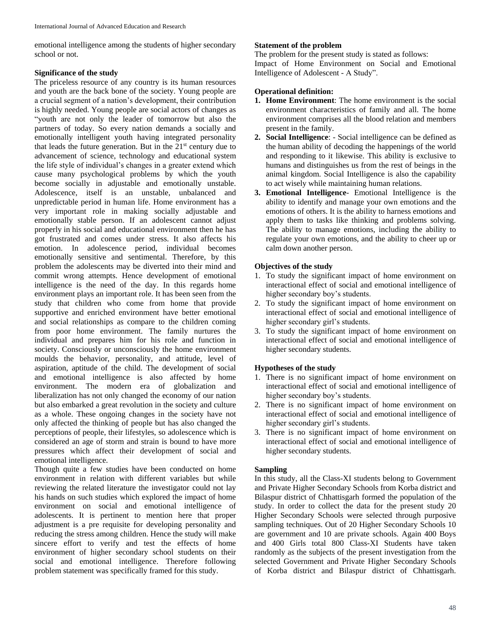emotional intelligence among the students of higher secondary school or not.

## **Significance of the study**

The priceless resource of any country is its human resources and youth are the back bone of the society. Young people are a crucial segment of a nation's development, their contribution is highly needed. Young people are social actors of changes as "youth are not only the leader of tomorrow but also the partners of today. So every nation demands a socially and emotionally intelligent youth having integrated personality that leads the future generation. But in the  $21<sup>st</sup>$  century due to advancement of science, technology and educational system the life style of individual's changes in a greater extend which cause many psychological problems by which the youth become socially in adjustable and emotionally unstable. Adolescence, itself is an unstable, unbalanced and unpredictable period in human life. Home environment has a very important role in making socially adjustable and emotionally stable person. If an adolescent cannot adjust properly in his social and educational environment then he has got frustrated and comes under stress. It also affects his emotion. In adolescence period, individual becomes emotionally sensitive and sentimental. Therefore, by this problem the adolescents may be diverted into their mind and commit wrong attempts. Hence development of emotional intelligence is the need of the day. In this regards home environment plays an important role. It has been seen from the study that children who come from home that provide supportive and enriched environment have better emotional and social relationships as compare to the children coming from poor home environment. The family nurtures the individual and prepares him for his role and function in society. Consciously or unconsciously the home environment moulds the behavior, personality, and attitude, level of aspiration, aptitude of the child. The development of social and emotional intelligence is also affected by home environment. The modern era of globalization and liberalization has not only changed the economy of our nation but also embarked a great revolution in the society and culture as a whole. These ongoing changes in the society have not only affected the thinking of people but has also changed the perceptions of people, their lifestyles, so adolescence which is considered an age of storm and strain is bound to have more pressures which affect their development of social and emotional intelligence.

Though quite a few studies have been conducted on home environment in relation with different variables but while reviewing the related literature the investigator could not lay his hands on such studies which explored the impact of home environment on social and emotional intelligence of adolescents. It is pertinent to mention here that proper adjustment is a pre requisite for developing personality and reducing the stress among children. Hence the study will make sincere effort to verify and test the effects of home environment of higher secondary school students on their social and emotional intelligence. Therefore following problem statement was specifically framed for this study.

## **Statement of the problem**

The problem for the present study is stated as follows: Impact of Home Environment on Social and Emotional Intelligence of Adolescent - A Study".

## **Operational definition:**

- **1. Home Environment**: The home environment is the social environment characteristics of family and all. The home environment comprises all the blood relation and members present in the family.
- **2. Social Intelligence**: Social intelligence can be defined as the human ability of decoding the happenings of the world and responding to it likewise. This ability is exclusive to humans and distinguishes us from the rest of beings in the animal kingdom. Social Intelligence is also the capability to act wisely while maintaining human relations.
- **3. Emotional Intelligence** Emotional Intelligence is the ability to identify and manage your own emotions and the emotions of others. It is the ability to harness emotions and apply them to tasks like thinking and problems solving. The ability to manage emotions, including the ability to regulate your own emotions, and the ability to cheer up or calm down another person.

# **Objectives of the study**

- 1. To study the significant impact of home environment on interactional effect of social and emotional intelligence of higher secondary boy's students.
- 2. To study the significant impact of home environment on interactional effect of social and emotional intelligence of higher secondary girl's students.
- 3. To study the significant impact of home environment on interactional effect of social and emotional intelligence of higher secondary students.

# **Hypotheses of the study**

- 1. There is no significant impact of home environment on interactional effect of social and emotional intelligence of higher secondary boy's students.
- 2. There is no significant impact of home environment on interactional effect of social and emotional intelligence of higher secondary girl's students.
- 3. There is no significant impact of home environment on interactional effect of social and emotional intelligence of higher secondary students.

# **Sampling**

In this study, all the Class-XI students belong to Government and Private Higher Secondary Schools from Korba district and Bilaspur district of Chhattisgarh formed the population of the study. In order to collect the data for the present study 20 Higher Secondary Schools were selected through purposive sampling techniques. Out of 20 Higher Secondary Schools 10 are government and 10 are private schools. Again 400 Boys and 400 Girls total 800 Class-XI Students have taken randomly as the subjects of the present investigation from the selected Government and Private Higher Secondary Schools of Korba district and Bilaspur district of Chhattisgarh.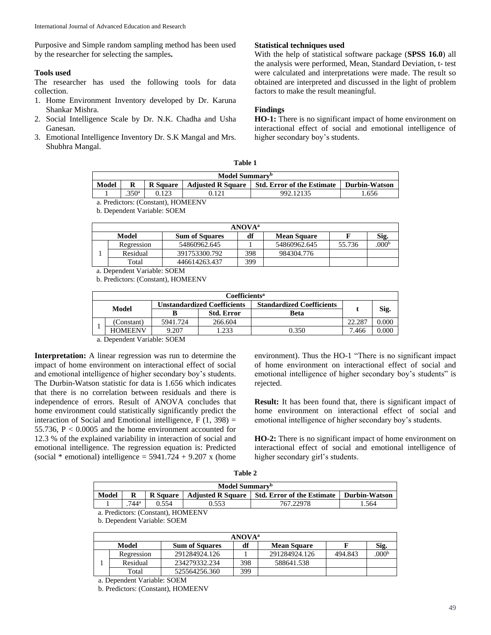Purposive and Simple random sampling method has been used by the researcher for selecting the samples**.**

## **Tools used**

The researcher has used the following tools for data collection.

- 1. Home Environment Inventory developed by Dr. Karuna Shankar Mishra.
- 2. Social Intelligence Scale by Dr. N.K. Chadha and Usha Ganesan.
- 3. Emotional Intelligence Inventory Dr. S.K Mangal and Mrs. Shubhra Mangal.

### **Statistical techniques used**

With the help of statistical software package (**SPSS 16.0**) all the analysis were performed, Mean, Standard Deviation, t- test were calculated and interpretations were made. The result so obtained are interpreted and discussed in the light of problem factors to make the result meaningful.

## **Findings**

**HO-1:** There is no significant impact of home environment on interactional effect of social and emotional intelligence of higher secondary boy's students.

| `able |  |
|-------|--|
|-------|--|

| Model Summary <sup>b</sup>                                                                                                                                                                                                                                                                                                                                                                                                                                                                                                                                                                          |     |                 |                          |                                   |                      |  |
|-----------------------------------------------------------------------------------------------------------------------------------------------------------------------------------------------------------------------------------------------------------------------------------------------------------------------------------------------------------------------------------------------------------------------------------------------------------------------------------------------------------------------------------------------------------------------------------------------------|-----|-----------------|--------------------------|-----------------------------------|----------------------|--|
| <b>Model</b>                                                                                                                                                                                                                                                                                                                                                                                                                                                                                                                                                                                        |     | <b>R</b> Square | <b>Adjusted R Square</b> | <b>Std. Error of the Estimate</b> | <b>Durbin-Watson</b> |  |
|                                                                                                                                                                                                                                                                                                                                                                                                                                                                                                                                                                                                     | 25a |                 |                          | 992.12135                         | .656                 |  |
| $\left\langle \right\rangle$ $\left\langle \right\rangle$ $\left\langle \right\rangle$ $\left\langle \right\rangle$ $\left\langle \right\rangle$ $\left\langle \right\rangle$ $\left\langle \right\rangle$ $\left\langle \right\rangle$ $\left\langle \right\rangle$ $\left\langle \right\rangle$ $\left\langle \right\rangle$ $\left\langle \right\rangle$ $\left\langle \right\rangle$ $\left\langle \right\rangle$ $\left\langle \right\rangle$ $\left\langle \right\rangle$ $\left\langle \right\rangle$ $\left\langle \right\rangle$ $\left\langle \right\rangle$ $\left\langle \right\rangle$ |     |                 |                          |                                   |                      |  |

a. Predictors: (Constant), HOMEENV b. Dependent Variable: SOEM

| $\sigma$ . Dependent variable. DOLIM |  |
|--------------------------------------|--|
|                                      |  |
|                                      |  |

| <b>ANOVA</b> <sup>a</sup> |            |                       |     |                    |        |                  |  |
|---------------------------|------------|-----------------------|-----|--------------------|--------|------------------|--|
| Model                     |            | <b>Sum of Squares</b> | df  | <b>Mean Square</b> |        | Sig.             |  |
|                           | Regression | 54860962.645          |     | 54860962.645       | 55.736 | 000 <sup>b</sup> |  |
|                           | Residual   | 391753300.792         | 398 | 984304.776         |        |                  |  |
|                           | Total      | 446614263.437         | 399 |                    |        |                  |  |
|                           |            |                       |     |                    |        |                  |  |

a. Dependent Variable: SOEM

b. Predictors: (Constant), HOMEENV

| Coefficients <sup>a</sup> |                     |                                    |                   |                                  |        |       |
|---------------------------|---------------------|------------------------------------|-------------------|----------------------------------|--------|-------|
| Model                     |                     | <b>Unstandardized Coefficients</b> |                   | <b>Standardized Coefficients</b> |        |       |
|                           |                     |                                    | <b>Std. Error</b> | <b>Beta</b>                      |        | Sig.  |
|                           | (Constant)          | 5941.724                           | 266.604           |                                  | 22.287 | 0.000 |
|                           | <b>HOMEENV</b>      | 9.207                              | .233              | 0.350                            | .466   | 0.000 |
|                           | ___ _ _ _<br>$\sim$ | ------                             |                   |                                  |        |       |

a. Dependent Variable: SOEM

**Interpretation:** A linear regression was run to determine the impact of home environment on interactional effect of social and emotional intelligence of higher secondary boy's students. The Durbin-Watson statistic for data is 1.656 which indicates that there is no correlation between residuals and there is independence of errors. Result of ANOVA concludes that home environment could statistically significantly predict the interaction of Social and Emotional intelligence,  $F(1, 398) =$ 55.736, P < 0.0005 and the home environment accounted for 12.3 % of the explained variability in interaction of social and emotional intelligence. The regression equation is: Predicted (social  $*$  emotional) intelligence = 5941.724 + 9.207 x (home environment). Thus the HO-1 "There is no significant impact of home environment on interactional effect of social and emotional intelligence of higher secondary boy's students" is rejected.

**Result:** It has been found that, there is significant impact of home environment on interactional effect of social and emotional intelligence of higher secondary boy's students.

**HO-2:** There is no significant impact of home environment on interactional effect of social and emotional intelligence of higher secondary girl's students.

| m<br>ш |  |
|--------|--|
|--------|--|

| Model Summary <sup>b</sup>                                                                                             |                     |       |       |           |      |  |  |
|------------------------------------------------------------------------------------------------------------------------|---------------------|-------|-------|-----------|------|--|--|
| <b>Std. Error of the Estimate</b><br><b>Adjusted R Square</b><br>Model<br><b>Durbin-Watson</b><br>R<br><b>R</b> Square |                     |       |       |           |      |  |  |
|                                                                                                                        | $.744$ <sup>a</sup> | 0.554 | 0.553 | 767.22978 | .564 |  |  |
| a. Predictors: (Constant), HOMEENV                                                                                     |                     |       |       |           |      |  |  |

b. Dependent Variable: SOEM

| <b>ANOVA</b> <sup>a</sup> |                       |     |                    |         |                   |  |  |
|---------------------------|-----------------------|-----|--------------------|---------|-------------------|--|--|
| Model                     | <b>Sum of Squares</b> | df  | <b>Mean Square</b> |         | Sig.              |  |  |
| Regression                | 291284924.126         |     | 291284924.126      | 494.843 | .000 <sup>b</sup> |  |  |
| Residual                  | 234279332.234         | 398 | 588641.538         |         |                   |  |  |
| Total                     | 525564256.360         | 399 |                    |         |                   |  |  |

a. Dependent Variable: SOEM

b. Predictors: (Constant), HOMEENV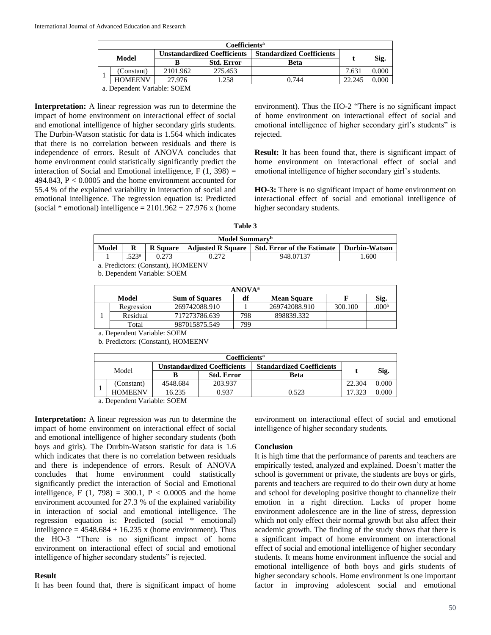|       | Coefficients <sup>a</sup>         |                                    |                   |                                  |        |       |  |  |
|-------|-----------------------------------|------------------------------------|-------------------|----------------------------------|--------|-------|--|--|
| Model |                                   | <b>Unstandardized Coefficients</b> |                   | <b>Standardized Coefficients</b> |        |       |  |  |
|       |                                   |                                    | <b>Std. Error</b> | Beta                             |        | Sig.  |  |  |
|       | (Constant)                        | 2101.962                           | 275.453           |                                  | 7.631  | 0.000 |  |  |
|       | <b>HOMEENV</b>                    | 27.976                             | .258              | 0.744                            | 22.245 | 0.000 |  |  |
|       | $\alpha$ Donordont Variables COEM |                                    |                   |                                  |        |       |  |  |

a. Dependent Variable: SOEM

**Interpretation:** A linear regression was run to determine the impact of home environment on interactional effect of social and emotional intelligence of higher secondary girls students. The Durbin-Watson statistic for data is 1.564 which indicates that there is no correlation between residuals and there is independence of errors. Result of ANOVA concludes that home environment could statistically significantly predict the interaction of Social and Emotional intelligence,  $F(1, 398) =$ 494.843, P < 0.0005 and the home environment accounted for 55.4 % of the explained variability in interaction of social and emotional intelligence. The regression equation is: Predicted (social  $*$  emotional) intelligence = 2101.962 + 27.976 x (home environment). Thus the HO-2 "There is no significant impact of home environment on interactional effect of social and emotional intelligence of higher secondary girl's students" is rejected.

**Result:** It has been found that, there is significant impact of home environment on interactional effect of social and emotional intelligence of higher secondary girl's students.

**HO-3:** There is no significant impact of home environment on interactional effect of social and emotional intelligence of higher secondary students.

| anı<br>к |  |
|----------|--|
|----------|--|

| Model Summary <sup>b</sup>                                                                              |                                    |       |  |           |     |  |
|---------------------------------------------------------------------------------------------------------|------------------------------------|-------|--|-----------|-----|--|
| Model<br>Adjusted R Square   Std. Error of the Estimate<br>R<br><b>Durbin-Watson</b><br><b>R</b> Square |                                    |       |  |           |     |  |
|                                                                                                         | 502a                               | 0.273 |  | 948.07137 | 600 |  |
|                                                                                                         | a. Predictors: (Constant), HOMEENV |       |  |           |     |  |

b. Dependent Variable: SOEM

| <b>ANOVA</b> <sup>a</sup> |            |                       |     |                    |         |                  |  |
|---------------------------|------------|-----------------------|-----|--------------------|---------|------------------|--|
| Model                     |            | <b>Sum of Squares</b> | df  | <b>Mean Square</b> |         | Sig.             |  |
|                           | Regression | 269742088.910         |     | 269742088.910      | 300.100 | 000 <sup>b</sup> |  |
|                           | Residual   | 717273786.639         | 798 | 898839.332         |         |                  |  |
|                           | Total      | 987015875.549         | 799 |                    |         |                  |  |
|                           |            |                       |     |                    |         |                  |  |

a. Dependent Variable: SOEM b. Predictors: (Constant), HOMEENV

| Coefficients <sup>a</sup> |                |                             |                   |                                  |        |       |
|---------------------------|----------------|-----------------------------|-------------------|----------------------------------|--------|-------|
| Model                     |                | Unstandardized Coefficients |                   | <b>Standardized Coefficients</b> |        |       |
|                           |                |                             | <b>Std. Error</b> | <b>Beta</b>                      |        | Sig.  |
|                           | (Constant)     | 4548.684                    | 203.937           |                                  | 22.304 | 0.000 |
|                           | <b>HOMEENV</b> | 16.235                      | 0.937             | 0.523                            | 17.323 | 0.000 |

a. Dependent Variable: SOEM

**Interpretation:** A linear regression was run to determine the impact of home environment on interactional effect of social and emotional intelligence of higher secondary students (both boys and girls). The Durbin-Watson statistic for data is 1.6 which indicates that there is no correlation between residuals and there is independence of errors. Result of ANOVA concludes that home environment could statistically significantly predict the interaction of Social and Emotional intelligence, F  $(1, 798) = 300.1$ , P < 0.0005 and the home environment accounted for 27.3 % of the explained variability in interaction of social and emotional intelligence. The regression equation is: Predicted (social \* emotional) intelligence =  $4548.684 + 16.235$  x (home environment). Thus the HO-3 "There is no significant impact of home environment on interactional effect of social and emotional intelligence of higher secondary students" is rejected.

### **Result**

It has been found that, there is significant impact of home

environment on interactional effect of social and emotional intelligence of higher secondary students.

### **Conclusion**

It is high time that the performance of parents and teachers are empirically tested, analyzed and explained. Doesn't matter the school is government or private, the students are boys or girls, parents and teachers are required to do their own duty at home and school for developing positive thought to channelize their emotion in a right direction. Lacks of proper home environment adolescence are in the line of stress, depression which not only effect their normal growth but also affect their academic growth. The finding of the study shows that there is a significant impact of home environment on interactional effect of social and emotional intelligence of higher secondary students. It means home environment influence the social and emotional intelligence of both boys and girls students of higher secondary schools. Home environment is one important factor in improving adolescent social and emotional